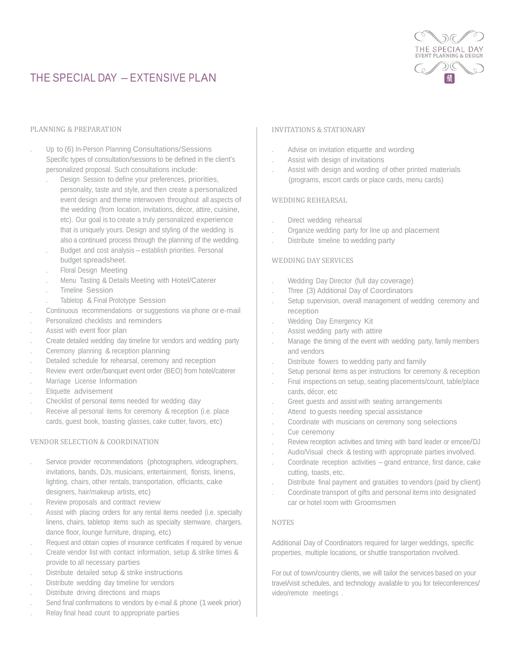

# THE SPECIAL DAY - EXTENSIVE PLAN

#### PLANNING & PREPARATION

- . Up to (6) In-Person Planning Consultations/Sessions Specific types of consultation/sessions to be defined in the client's personalized proposal. Such consultations include:
	- . Design Session to define your preferences, priorities, personality, taste and style, and then create a personalized event design and theme interwoven throughout all aspects of the wedding (from location, invitations, décor, attire, cuisine, etc). Our goal is to create a truly personalized experience that is uniquely yours. Design and styling of the wedding is also a continued process through the planning of the wedding.
	- . Budget and cost analysis establish priorities. Personal budget spreadsheet.
	- . Floral Design Meeting
	- . Menu Tasting & Details Meeting with Hotel/Caterer
	- . Timeline Session
	- . Tabletop & Final Prototype Session
- . Continuous recommendations or suggestions via phone or e-mail
- . Personalized checklists and reminders
- . Assist with event floor plan
- . Create detailed wedding day timeline for vendors and wedding party
- . Ceremony planning & reception planning
- . Detailed schedule for rehearsal, ceremony and reception
- . Review event order/banquet event order (BEO) from hotel/caterer
- . Marriage License Information
- . Etiquette advisement
- . Checklist of personal items needed for wedding day
- Receive all personal items for ceremony & reception (i.e. place cards, guest book, toasting glasses, cake cutter, favors, etc)

## VENDOR SELECTION & COORDINATION

- . Service provider recommendations (photographers, videographers, invitations, bands, DJs, musicians, entertainment, florists, linens, lighting, chairs, other rentals, transportation, officiants, cake designers, hair/makeup artists, etc)
- . Review proposals and contract review
- . Assist with placing orders for any rental items needed (i.e. specialty linens, chairs, tabletop items such as specialty stemware, chargers, dance floor, lounge furniture, draping, etc)
- . Request and obtain copies of insurance certificates if required by venue
- . Create vendor list with contact information, setup & strike times & provide to all necessary parties
- Distribute detailed setup & strike instructions
- . Distribute wedding day timeline for vendors
- . Distribute driving directions and maps
- . Send final confirmations to vendors by e-mail & phone (1 week prior)
- . Relay final head count to appropriate parties

### INVITATIONS & STATIONARY

- . Advise on invitation etiquette and wording
- . Assist with design of invitations
- . Assist with design and wording of other printed materials (programs, escort cards or place cards, menu cards)

## WEDDING REHEARSAL

- Direct wedding rehearsal
- . Organize wedding party for line up and placement
- Distribute timeline to wedding party

### WEDDING DAY SERVICES

- . Wedding Day Director (full day coverage)
- . Three (3) Additional Day of Coordinators
- . Setup supervision, overall management of wedding ceremony and reception
- . Wedding Day Emergency Kit
- . Assist wedding party with attire
- . Manage the timing of the event with wedding party, family members and vendors
- . Distribute flowers to wedding party and family
- Setup personal items as per instructions for ceremony & reception . Final inspections on setup, seating placements/count, table/place
- cards, décor, etc
- . Greet guests and assist with seating arrangements
- . Attend to guests needing special assistance
- . Coordinate with musicians on ceremony song selections
- . Cue ceremony
- . Review reception activities and timing with band leader or emcee/DJ
- . Audio/Visual check & testing with appropriate parties involved.
- . Coordinate reception activities grand entrance, first dance, cake cutting, toasts, etc.
- . Distribute final payment and gratuities to vendors (paid by client)
- . Coordinate transport of gifts and personal items into designated car or hotel room with Groomsmen

## NOTES

Additional Day of Coordinators required for larger weddings, specific properties, multiple locations, or shuttle transportation nvolved.

For out of town/country clients, we will tailor the services based on your travel/visit schedules, and technology available to you for teleconferences/ video/remote meetings .